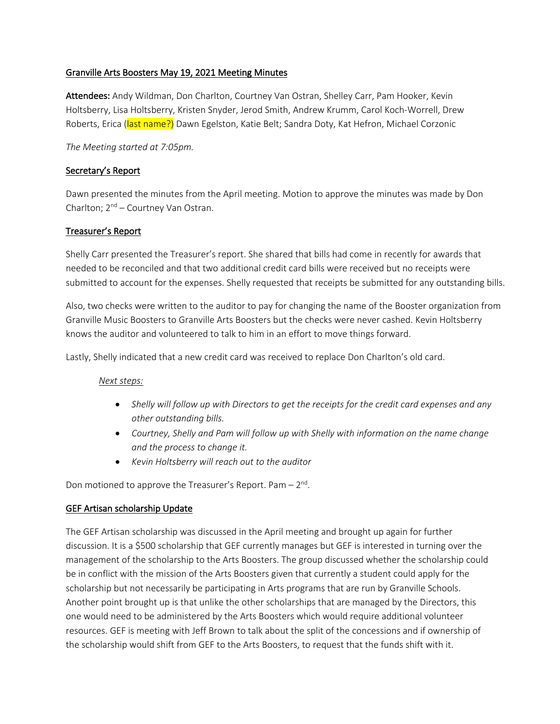### Granville Arts Boosters May 19, 2021 Meeting Minutes

Attendees: Andy Wildman, Don Charlton, Courtney Van Ostran, Shelley Carr, Pam Hooker, Kevin Holtsberry, Lisa Holtsberry, Kristen Snyder, Jerod Smith, Andrew Krumm, Carol Koch-Worrell, Drew Roberts, Erica (last name?) Dawn Egelston, Katie Belt; Sandra Doty, Kat Hefron, Michael Corzonic

### *The Meeting started at 7:05pm.*

## Secretary's Report

Dawn presented the minutes from the April meeting. Motion to approve the minutes was made by Don Charlton;  $2^{nd}$  – Courtney Van Ostran.

### Treasurer's Report

Shelly Carr presented the Treasurer's report. She shared that bills had come in recently for awards that needed to be reconciled and that two additional credit card bills were received but no receipts were submitted to account for the expenses. Shelly requested that receipts be submitted for any outstanding bills.

Also, two checks were written to the auditor to pay for changing the name of the Booster organization from Granville Music Boosters to Granville Arts Boosters but the checks were never cashed. Kevin Holtsberry knows the auditor and volunteered to talk to him in an effort to move things forward.

Lastly, Shelly indicated that a new credit card was received to replace Don Charlton's old card.

#### *Next steps:*

- *Shelly will follow up with Directors to get the receipts for the credit card expenses and any other outstanding bills.*
- Courtney, Shelly and Pam will follow up with Shelly with *information on the name change and the process to change it.*
- *Kevin Holtsberry will reach out to the auditor*

Don motioned to approve the Treasurer's Report. Pam  $-2<sup>nd</sup>$ .

# GEF Artisan scholarship Update

The GEF Artisan scholarship was discussed in the April meeting and brought up again for further discussion. It is a \$500 scholarship that GEF currently manages but GEF is interested in turning over the management of the scholarship to the Arts Boosters. The group discussed whether the scholarship could be in conflict with the mission of the Arts Boosters given that currently a student could apply for the scholarship but not necessarily be participating in Arts programs that are run by Granville Schools. Another point brought up is that unlike the other scholarships that are managed by the Directors, this one would need to be administered by the Arts Boosters which would require additional volunteer resources. GEF is meeting with Jeff Brown to talk about the split of the concessions and if ownership of the scholarship would shift from GEF to the Arts Boosters, to request that the funds shift with it.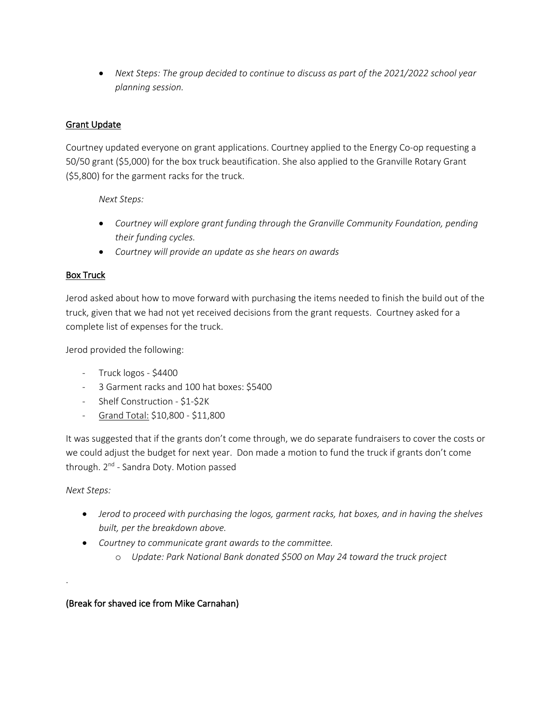• *Next Steps: The group decided to continue to discuss as part of the 2021/2022 school year planning session.*

# Grant Update

Courtney updated everyone on grant applications. Courtney applied to the Energy Co-op requesting a 50/50 grant (\$5,000) for the box truck beautification. She also applied to the Granville Rotary Grant (\$5,800) for the garment racks for the truck.

*Next Steps:* 

- *Courtney will explore grant funding through the Granville Community Foundation, pending their funding cycles.*
- *Courtney will provide an update as she hears on awards*

# Box Truck

Jerod asked about how to move forward with purchasing the items needed to finish the build out of the truck, given that we had not yet received decisions from the grant requests. Courtney asked for a complete list of expenses for the truck.

Jerod provided the following:

- Truck logos \$4400
- 3 Garment racks and 100 hat boxes: \$5400
- Shelf Construction \$1-\$2K
- Grand Total: \$10,800 \$11,800

It was suggested that if the grants don't come through, we do separate fundraisers to cover the costs or we could adjust the budget for next year. Don made a motion to fund the truck if grants don't come through. 2<sup>nd</sup> - Sandra Doty. Motion passed

*Next Steps:*

.

- *Jerod to proceed with purchasing the logos, garment racks, hat boxes, and in having the shelves built, per the breakdown above.*
- *Courtney to communicate grant awards to the committee.* 
	- o *Update: Park National Bank donated \$500 on May 24 toward the truck project*

# (Break for shaved ice from Mike Carnahan)